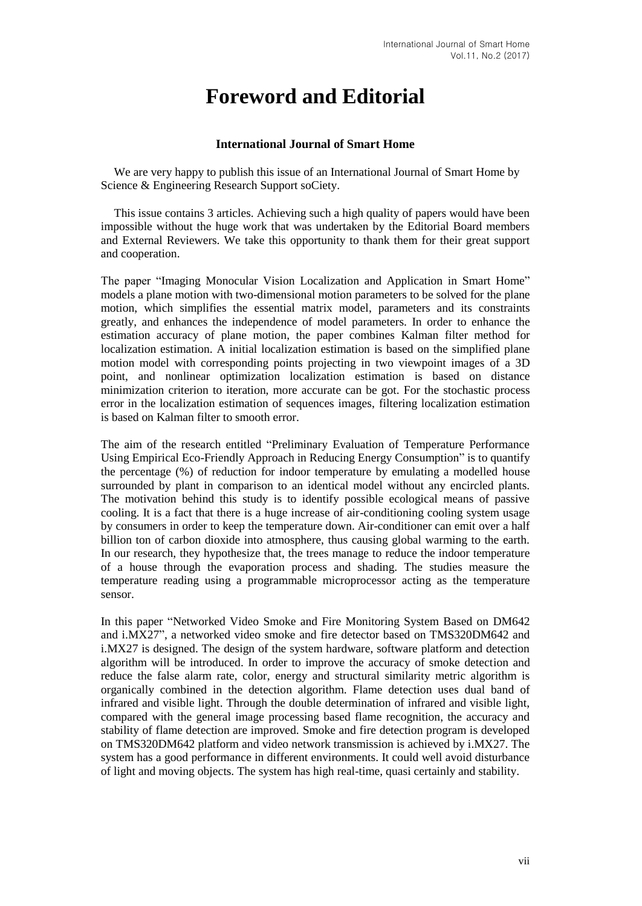## **Foreword and Editorial**

## **International Journal of Smart Home**

We are very happy to publish this issue of an International Journal of Smart Home by Science & Engineering Research Support soCiety.

This issue contains 3 articles. Achieving such a high quality of papers would have been impossible without the huge work that was undertaken by the Editorial Board members and External Reviewers. We take this opportunity to thank them for their great support and cooperation.

The paper "Imaging Monocular Vision Localization and Application in Smart Home" models a plane motion with two-dimensional motion parameters to be solved for the plane motion, which simplifies the essential matrix model, parameters and its constraints greatly, and enhances the independence of model parameters. In order to enhance the estimation accuracy of plane motion, the paper combines Kalman filter method for localization estimation. A initial localization estimation is based on the simplified plane motion model with corresponding points projecting in two viewpoint images of a 3D point, and nonlinear optimization localization estimation is based on distance minimization criterion to iteration, more accurate can be got. For the stochastic process error in the localization estimation of sequences images, filtering localization estimation is based on Kalman filter to smooth error.

The aim of the research entitled "Preliminary Evaluation of Temperature Performance Using Empirical Eco-Friendly Approach in Reducing Energy Consumption" is to quantify the percentage (%) of reduction for indoor temperature by emulating a modelled house surrounded by plant in comparison to an identical model without any encircled plants. The motivation behind this study is to identify possible ecological means of passive cooling. It is a fact that there is a huge increase of air-conditioning cooling system usage by consumers in order to keep the temperature down. Air-conditioner can emit over a half billion ton of carbon dioxide into atmosphere, thus causing global warming to the earth. In our research, they hypothesize that, the trees manage to reduce the indoor temperature of a house through the evaporation process and shading. The studies measure the temperature reading using a programmable microprocessor acting as the temperature sensor.

In this paper "Networked Video Smoke and Fire Monitoring System Based on DM642 and i.MX27", a networked video smoke and fire detector based on TMS320DM642 and i.MX27 is designed. The design of the system hardware, software platform and detection algorithm will be introduced. In order to improve the accuracy of smoke detection and reduce the false alarm rate, color, energy and structural similarity metric algorithm is organically combined in the detection algorithm. Flame detection uses dual band of infrared and visible light. Through the double determination of infrared and visible light, compared with the general image processing based flame recognition, the accuracy and stability of flame detection are improved. Smoke and fire detection program is developed on TMS320DM642 platform and video network transmission is achieved by i.MX27. The system has a good performance in different environments. It could well avoid disturbance of light and moving objects. The system has high real-time, quasi certainly and stability.